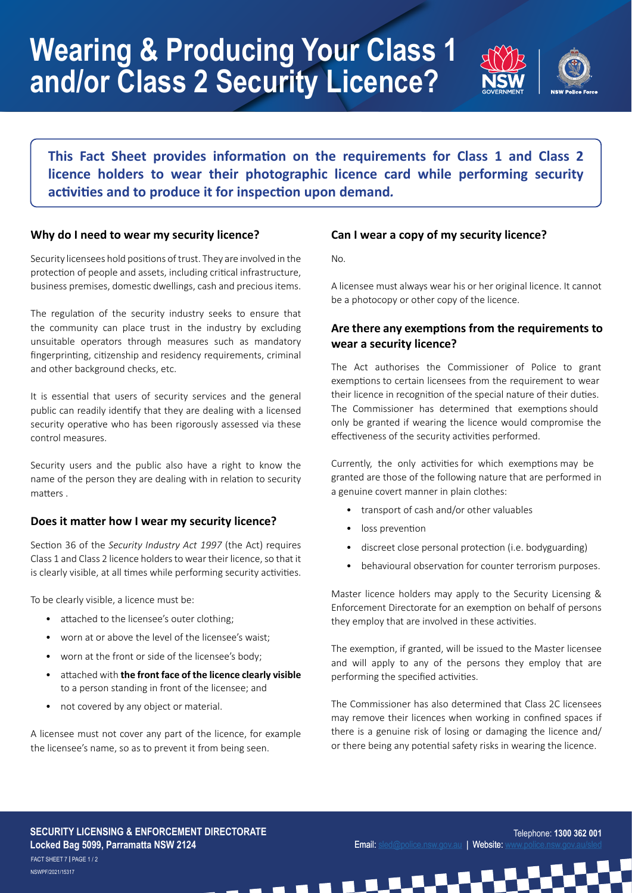# **Wearing & Producing Your Class 1 and/or Class 2 Security Licence?**



**This Fact Sheet provides information on the requirements for Class 1 and Class 2 licence holders to wear their photographic licence card while performing security activities and to produce it for inspection upon demand***.*

#### **Why do I need to wear my security licence?**

Security licensees hold positions of trust. They are involved in the protection of people and assets, including critical infrastructure, business premises, domestic dwellings, cash and precious items.

The regulation of the security industry seeks to ensure that the community can place trust in the industry by excluding unsuitable operators through measures such as mandatory fingerprinting, citizenship and residency requirements, criminal and other background checks, etc.

It is essential that users of security services and the general public can readily identify that they are dealing with a licensed security operative who has been rigorously assessed via these control measures.

Security users and the public also have a right to know the name of the person they are dealing with in relation to security matters .

### **Does it matter how I wear my security licence?**

Section 36 of the *Security Industry Act 1997* (the Act) requires Class 1 and Class 2 licence holders to wear their licence, so that it is clearly visible, at all times while performing security activities.

To be clearly visible, a licence must be:

- attached to the licensee's outer clothing;
- worn at or above the level of the licensee's waist;
- worn at the front or side of the licensee's body;
- attached with **the front face of the licence clearly visible** to a person standing in front of the licensee; and
- not covered by any object or material.

A licensee must not cover any part of the licence, for example the licensee's name, so as to prevent it from being seen.

#### **Can I wear a copy of my security licence?**

No.

A licensee must always wear his or her original licence. It cannot be a photocopy or other copy of the licence.

# **Are there any exemptions from the requirements to wear a security licence?**

The Act authorises the Commissioner of Police to grant exemptions to certain licensees from the requirement to wear their licence in recognition of the special nature of their duties. The Commissioner has determined that exemptions should only be granted if wearing the licence would compromise the effectiveness of the security activities performed.

Currently, the only activities for which exemptions may be granted are those of the following nature that are performed in a genuine covert manner in plain clothes:

- transport of cash and/or other valuables
- loss prevention
- discreet close personal protection (i.e. bodyguarding)
- behavioural observation for counter terrorism purposes.

Master licence holders may apply to the Security Licensing & Enforcement Directorate for an exemption on behalf of persons they employ that are involved in these activities.

The exemption, if granted, will be issued to the Master licensee and will apply to any of the persons they employ that are performing the specified activities.

The Commissioner has also determined that Class 2C licensees may remove their licences when working in confined spaces if there is a genuine risk of losing or damaging the licence and/ or there being any potential safety risks in wearing the licence.

#### **SECURITY LICENSING & ENFORCEMENT DIRECTORATE Locked Bag 5099, Parramatta NSW 2124**

NSWPF/2021/15317 FACT SHEET 7 **|** PAGE 1 / 2

Telephone: **1300 362 001** Email: [sled@police.nsw.gov.au](http://sled@police.nsw.gov.au) | Website: www.police.nsw.gov.au